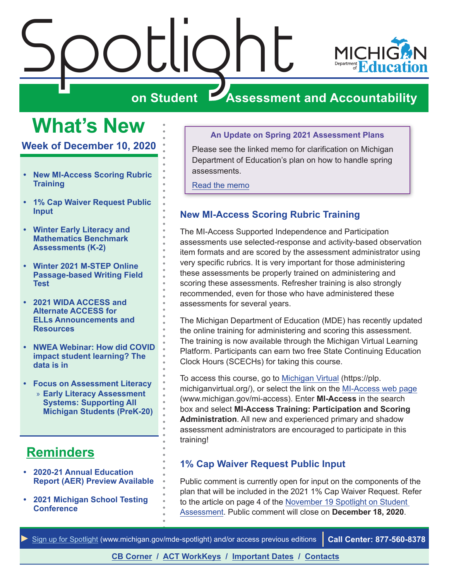

# $\frac{\sum_{\text{C}}\prod_{\text{C}}\binom{1}{\text{C}}}{\sum_{\text{S}}\prod_{\text{C}}\binom{1}{\text{C}}}$ **ZASSESSMENT AND ACCOUNTABILITY**

## <span id="page-0-0"></span>**What's New**

**Week of December 10, 2020**

- **• New MI-Access Scoring Rubric Training**
- **• 1% Cap Waiver Request Public Input**
- **• [Winter Early Literacy and](#page-1-0)  [Mathematics Benchmark](#page-1-0)  [Assessments \(K-2\)](#page-1-0)**
- **• [Winter 2021 M-STEP Online](#page-1-0)  [Passage-based Writing Field](#page-1-0)  [Test](#page-1-0)**
- **• [2021 WIDA ACCESS and](#page-1-0)  [Alternate ACCESS for](#page-1-0)  [ELLs Announcements and](#page-1-0)  [Resources](#page-1-0)**
- **• [NWEA Webinar: How did COVID](#page-2-0)  [impact student learning? The](#page-2-0)  [data is in](#page-2-0)**
- **• [Focus on Assessment Literacy](#page-4-0)** » **[Early Literacy Assessment](#page-4-0)  [Systems: Supporting All](#page-4-0)  [Michigan Students \(PreK-20\)](#page-4-0)**

## **[Reminders](#page-3-0)**

- **• [2020-21 Annual Education](#page-3-0)  [Report \(AER\) Preview Available](#page-3-0)**
- **• [2021 Michigan School Testing](#page-3-0)  [Conference](#page-3-0)**

#### **An Update on Spring 2021 Assessment Plans**

Please see the linked memo for clarification on Michigan Department of Education's plan on how to handle spring assessments.

[Read the memo](https://www.michigan.gov/documents/mde/Spring_2021_State_Assessments_710008_7.pdf)

## **New MI-Access Scoring Rubric Training**

The MI-Access Supported Independence and Participation assessments use selected-response and activity-based observation item formats and are scored by the assessment administrator using very specific rubrics. It is very important for those administering these assessments be properly trained on administering and scoring these assessments. Refresher training is also strongly recommended, even for those who have administered these assessments for several years.

The Michigan Department of Education (MDE) has recently updated the online training for administering and scoring this assessment. The training is now available through the Michigan Virtual Learning Platform. Participants can earn two free State Continuing Education Clock Hours (SCECHs) for taking this course.

To access this course, go to [Michigan Virtual](https://plp.michiganvirtual.org/) (https://plp. michiganvirtual.org/), or select the link on the [MI-Access web page](http://www.michigan.gov/mi-access) (www.michigan.gov/mi-access). Enter **MI-Access** in the search box and select **MI-Access Training: Participation and Scoring Administration**. All new and experienced primary and shadow assessment administrators are encouraged to participate in this training!

## **1% Cap Waiver Request Public Input**

Public comment is currently open for input on the components of the plan that will be included in the 2021 1% Cap Waiver Request. Refer to the article on page 4 of the [November 19 Spotlight on Student](https://www.michigan.gov/documents/mde/Spotlight_11-19-20_708352_7.pdf)  [Assessment.](https://www.michigan.gov/documents/mde/Spotlight_11-19-20_708352_7.pdf) Public comment will close on **December 18, 2020**.

**[CB Corner](#page-6-0) / [ACT WorkKeys](#page-7-0) / [Important Dates](#page-8-0) / [Contacts](#page-9-0)**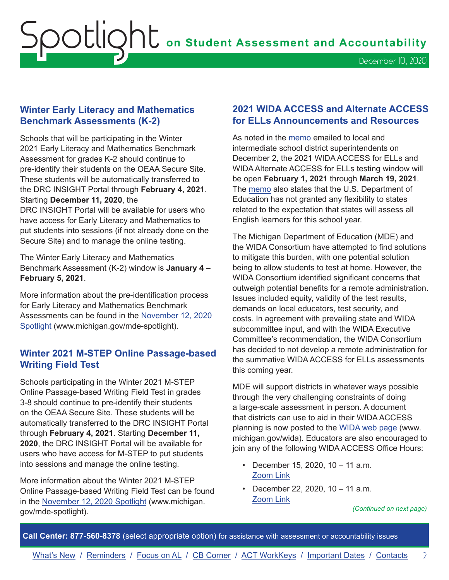## <span id="page-1-0"></span>**Winter Early Literacy and Mathematics Benchmark Assessments (K-2)**

Schools that will be participating in the Winter 2021 Early Literacy and Mathematics Benchmark Assessment for grades K-2 should continue to pre-identify their students on the OEAA Secure Site. These students will be automatically transferred to the DRC INSIGHT Portal through **February 4, 2021**. Starting **December 11, 2020**, the

DRC INSIGHT Portal will be available for users who have access for Early Literacy and Mathematics to put students into sessions (if not already done on the Secure Site) and to manage the online testing.

The Winter Early Literacy and Mathematics Benchmark Assessment (K-2) window is **January 4 – February 5, 2021**.

More information about the pre-identification process for Early Literacy and Mathematics Benchmark Assessments can be found in the [November 12, 2020](https://www.michigan.gov/documents/mde/Spotlight_11-12-20_707634_7.pdf)  [Spotlight](https://www.michigan.gov/documents/mde/Spotlight_11-12-20_707634_7.pdf) (www.michigan.gov/mde-spotlight).

## **Winter 2021 M-STEP Online Passage-based Writing Field Test**

Schools participating in the Winter 2021 M-STEP Online Passage-based Writing Field Test in grades 3-8 should continue to pre-identify their students on the OEAA Secure Site. These students will be automatically transferred to the DRC INSIGHT Portal through **February 4, 2021**. Starting **December 11, 2020**, the DRC INSIGHT Portal will be available for users who have access for M-STEP to put students into sessions and manage the online testing.

More information about the Winter 2021 M-STEP Online Passage-based Writing Field Test can be found in the [November 12, 2020 Spotlight](https://www.michigan.gov/documents/mde/Spotlight_11-12-20_707634_7.pdf) (www.michigan. gov/mde-spotlight).

## **2021 WIDA ACCESS and Alternate ACCESS for ELLs Announcements and Resources**

As noted in the m[emo](https://www.michigan.gov/documents/mde/WIDA_ACCESS_709421_7.pdf) emailed to local and intermediate school district superintendents on December 2, the 2021 WIDA ACCESS for ELLs and WIDA Alternate ACCESS for ELLs testing window will be open **February 1, 2021** through **March 19, 2021**. The [memo](https://www.michigan.gov/documents/mde/WIDA_ACCESS_709421_7.pdf) also states that the U.S. Department of Education has not granted any flexibility to states related to the expectation that states will assess all English learners for this school year.

The Michigan Department of Education (MDE) and the WIDA Consortium have attempted to find solutions to mitigate this burden, with one potential solution being to allow students to test at home. However, the WIDA Consortium identified significant concerns that outweigh potential benefits for a remote administration. Issues included equity, validity of the test results, demands on local educators, test security, and costs. In agreement with prevailing state and WIDA subcommittee input, and with the WIDA Executive Committee's recommendation, the WIDA Consortium has decided to not develop a remote administration for the summative WIDA ACCESS for ELLs assessments this coming year.

MDE will support districts in whatever ways possible through the very challenging constraints of doing a large-scale assessment in person. A document that districts can use to aid in their WIDA ACCESS planning is now posted to the [WIDA web page](www.michigan.gov/wida) (www. michigan.gov/wida). Educators are also encouraged to join any of the following WIDA ACCESS Office Hours:

- December 15, 2020, 10 11 a.m. [Zoom Link](https://msu.zoom.us/j/94161454798#success)
- December 22, 2020, 10 11 a.m. [Zoom Link](https://msu.zoom.us/j/96782785790)

*(Continued on next page)*

**Call Center: 877-560-8378** (select appropriate option) for assistance with assessment or accountability issues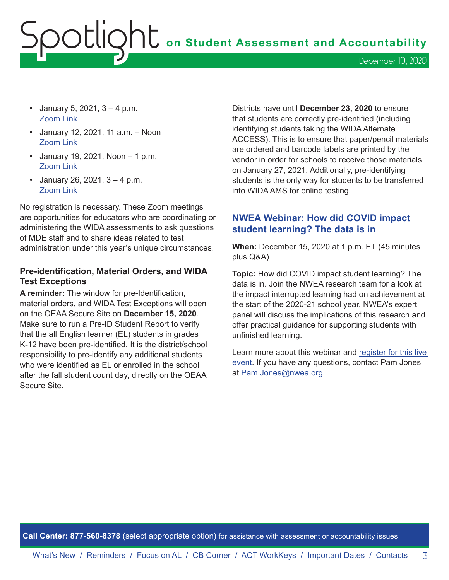- <span id="page-2-0"></span>• January 5, 2021,  $3 - 4$  p.m. [Zoom Link](https://msu.zoom.us/j/99058495412)
- January 12, 2021, 11 a.m. Noon [Zoom Link](https://msu.zoom.us/j/96361843470)
- January 19, 2021, Noon  $-1$  p.m. [Zoom Link](https://msu.zoom.us/j/97930687841)
- January 26, 2021,  $3 4$  p.m. [Zoom Link](https://msu.zoom.us/j/98078710845)

No registration is necessary. These Zoom meetings are opportunities for educators who are coordinating or administering the WIDA assessments to ask questions of MDE staff and to share ideas related to test administration under this year's unique circumstances.

### **Pre-identification, Material Orders, and WIDA Test Exceptions**

**A reminder:** The window for pre-Identification, material orders, and WIDA Test Exceptions will open on the OEAA Secure Site on **December 15, 2020**. Make sure to run a Pre-ID Student Report to verify that the all English learner (EL) students in grades K-12 have been pre-identified. It is the district/school responsibility to pre-identify any additional students who were identified as EL or enrolled in the school after the fall student count day, directly on the OEAA Secure Site.

Districts have until **December 23, 2020** to ensure that students are correctly pre-identified (including identifying students taking the WIDA Alternate ACCESS). This is to ensure that paper/pencil materials are ordered and barcode labels are printed by the vendor in order for schools to receive those materials on January 27, 2021. Additionally, pre-identifying students is the only way for students to be transferred into WIDA AMS for online testing.

## **NWEA Webinar: How did COVID impact student learning? The data is in**

**When:** December 15, 2020 at 1 p.m. ET (45 minutes plus Q&A)

**Topic:** How did COVID impact student learning? The data is in. Join the NWEA research team for a look at the impact interrupted learning had on achievement at the start of the 2020-21 school year. NWEA's expert panel will discuss the implications of this research and offer practical guidance for supporting students with unfinished learning.

Learn more about this webinar and [register for this live](https://info.nwea.org/wbr-how-did-covid-impact-student-learning-data-is-in.html?utm_source=partner&utm_medium=email&utm_campaign=mde-tactical-enewsletter-research-covid-slide-fm-12-20&utm_content=wbr-did-covid-impact-student-learning-the-data-is-in-text)  [event.](https://info.nwea.org/wbr-how-did-covid-impact-student-learning-data-is-in.html?utm_source=partner&utm_medium=email&utm_campaign=mde-tactical-enewsletter-research-covid-slide-fm-12-20&utm_content=wbr-did-covid-impact-student-learning-the-data-is-in-text) If you have any questions, contact Pam Jones at [Pam.Jones@nwea.org](mailto:Pam.Jones%40nwea.org?subject=).

**Call Center: 877-560-8378** (select appropriate option) for assistance with assessment or accountability issues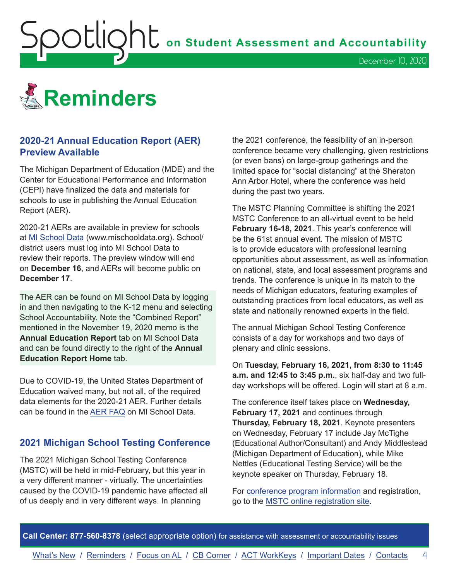<span id="page-3-0"></span>

## **2020-21 Annual Education Report (AER) Preview Available**

The Michigan Department of Education (MDE) and the Center for Educational Performance and Information (CEPI) have finalized the data and materials for schools to use in publishing the Annual Education Report (AER).

2020-21 AERs are available in preview for schools at [MI School Data](http://www.mischooldata.org) (www.mischooldata.org). School/ district users must log into MI School Data to review their reports. The preview window will end on **December 16**, and AERs will become public on **December 17**.

The AER can be found on MI School Data by logging in and then navigating to the K-12 menu and selecting School Accountability. Note the "Combined Report" mentioned in the November 19, 2020 memo is the **Annual Education Report** tab on MI School Data and can be found directly to the right of the **Annual Education Report Home** tab.

Due to COVID-19, the United States Department of Education waived many, but not all, of the required data elements for the 2020-21 AER. Further details can be found in the [AER FAQ](https://www.michigan.gov/documents/cepi/2020-21_AER_Memo_and_FAQ_FINAL_708975_7.pdf) on MI School Data.

## **2021 Michigan School Testing Conference**

The 2021 Michigan School Testing Conference (MSTC) will be held in mid-February, but this year in a very different manner - virtually. The uncertainties caused by the COVID-19 pandemic have affected all of us deeply and in very different ways. In planning

the 2021 conference, the feasibility of an in-person conference became very challenging, given restrictions (or even bans) on large-group gatherings and the limited space for "social distancing" at the Sheraton Ann Arbor Hotel, where the conference was held during the past two years.

December 10, 2020

The MSTC Planning Committee is shifting the 2021 MSTC Conference to an all-virtual event to be held **February 16-18, 2021**. This year's conference will be the 61st annual event. The mission of MSTC is to provide educators with professional learning opportunities about assessment, as well as information on national, state, and local assessment programs and trends. The conference is unique in its match to the needs of Michigan educators, featuring examples of outstanding practices from local educators, as well as state and nationally renowned experts in the field.

The annual Michigan School Testing Conference consists of a day for workshops and two days of plenary and clinic sessions.

On **Tuesday, February 16, 2021, from 8:30 to 11:45 a.m. and 12:45 to 3:45 p.m.**, six half-day and two fullday workshops will be offered. Login will start at 8 a.m.

The conference itself takes place on **Wednesday, February 17, 2021** and continues through **Thursday, February 18, 2021**. Keynote presenters on Wednesday, February 17 include Jay McTighe (Educational Author/Consultant) and Andy Middlestead (Michigan Department of Education), while Mike Nettles (Educational Testing Service) will be the keynote speaker on Thursday, February 18.

For [conference program information](http://gomasa.org/wp-content/uploads/mstcPromo2021.pdf) and registration, go to the [MSTC online registration site.](http://gomasa.org/mstc2021)

**Call Center: 877-560-8378** (select appropriate option) for assistance with assessment or accountability issues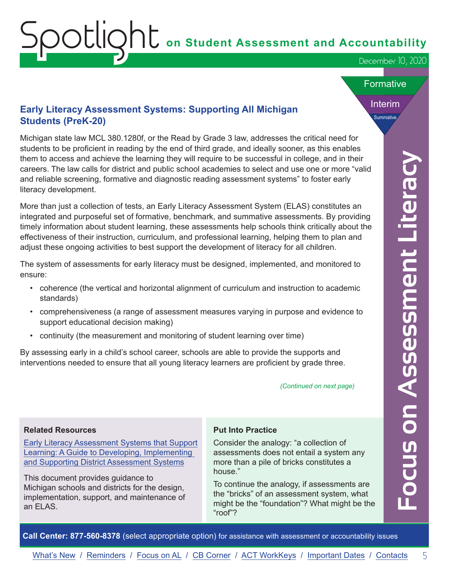December 10, 2020

#### **Formative**

Interim

**Summative** 

## <span id="page-4-0"></span>**Early Literacy Assessment Systems: Supporting All Michigan Students (PreK-20)**

Michigan state law MCL 380.1280f, or the Read by Grade 3 law, addresses the critical need for students to be proficient in reading by the end of third grade, and ideally sooner, as this enables them to access and achieve the learning they will require to be successful in college, and in their careers. The law calls for district and public school academies to select and use one or more "valid and reliable screening, formative and diagnostic reading assessment systems" to foster early literacy development.

m becomes and active the interimptible will receive the success and in higher and interimption and the magnetic state interimption and the property of the anti-<br>
The law calls for district and public school action the best More than just a collection of tests, an Early Literacy Assessment System (ELAS) constitutes an integrated and purposeful set of formative, benchmark, and summative assessments. By providing timely information about student learning, these assessments help schools think critically about the effectiveness of their instruction, curriculum, and professional learning, helping them to plan and adjust these ongoing activities to best support the development of literacy for all children.

The system of assessments for early literacy must be designed, implemented, and monitored to ensure:

- coherence (the vertical and horizontal alignment of curriculum and instruction to academic standards)
- comprehensiveness (a range of assessment measures varying in purpose and evidence to support educational decision making)
- continuity (the measurement and monitoring of student learning over time)

By assessing early in a child's school career, schools are able to provide the supports and interventions needed to ensure that all young literacy learners are proficient by grade three.

*(Continued on next page)*

#### **Related Resources**

[Early Literacy Assessment Systems that Support](https://www.michiganassessmentconsortium.org/wp-content/uploads/ELAS_Guide_2020_v5.pdf) [Learning: A Guide to Developing, Implementing](https://www.michiganassessmentconsortium.org/wp-content/uploads/ELAS_Guide_2020_v5.pdf)  [and Supporting District Assessment Systems](https://www.michiganassessmentconsortium.org/wp-content/uploads/ELAS_Guide_2020_v5.pdf)

This document provides guidance to Michigan schools and districts for the design, implementation, support, and maintenance of an ELAS.

#### **Put Into Practice**

Consider the analogy: "a collection of assessments does not entail a system any more than a pile of bricks constitutes a house."

To continue the analogy, if assessments are the "bricks" of an assessment system, what might be the "foundation"? What might be the "roof"?

**Call Center: 877-560-8378** (select appropriate option) for assistance with assessment or accountability issues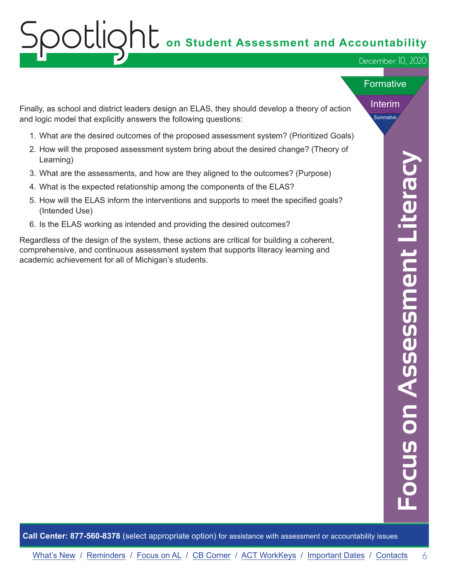# ${\sf SOLIQht}$  on Student Assessment and Accountability

December 10, 2020

#### **Formative**

Interim

**Summative** 

Finally, as school and district leaders design an ELAS, they should develop a theory of action and logic model that explicitly answers the following questions:

- 1. What are the desired outcomes of the proposed assessment system? (Prioritized Goals)
- 2. How will the proposed assessment system bring about the desired change? (Theory of Learning)
- 3. What are the assessments, and how are they aligned to the outcomes? (Purpose)
- 4. What is the expected relationship among the components of the ELAS?
- 5. How will the ELAS inform the interventions and supports to meet the specified goals? (Intended Use)
- 6. Is the ELAS working as intended and providing the desired outcomes?

I Learning)<br>
I. Usind are the assessments, and how are they aligned to the outcomes? (Purpose)<br>
What is the expected relationship among the components of the ELAS?<br>
I. How will the ELAS Inform the interventions and suppor Regardless of the design of the system, these actions are critical for building a coherent, comprehensive, and continuous assessment system that supports literacy learning and academic achievement for all of Michigan's students.

**Call Center: 877-560-8378** (select appropriate option) for assistance with assessment or accountability issues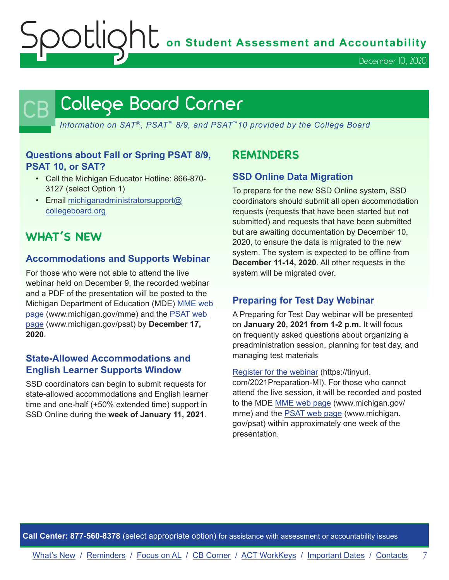OUIQhU on Student Assessment and Accountability

December 10, 2020

## <span id="page-6-0"></span>College Board Corner

*Information on SAT*®*, PSAT*™ *8/9, and PSAT*™*10 provided by the College Board*

## **Questions about Fall or Spring PSAT 8/9, PSAT 10, or SAT?**

- Call the Michigan Educator Hotline: 866-870- 3127 (select Option 1)
- Email [michiganadministratorsupport@](mailto:michiganadministratorsupport%40collegeboard.org?subject=) [collegeboard.org](mailto:michiganadministratorsupport%40collegeboard.org?subject=)

## **WHAT'S NEW**

## **Accommodations and Supports Webinar**

For those who were not able to attend the live webinar held on December 9, the recorded webinar and a PDF of the presentation will be posted to the Michigan Department of Education (MDE) [MME web](www.michigan.gov/mme)  [page](www.michigan.gov/mme) (www.michigan.gov/mme) and the [PSAT web](http://www.michigan.gov/psat)  [page](http://www.michigan.gov/psat) (www.michigan.gov/psat) by **December 17, 2020**.

## **State-Allowed Accommodations and English Learner Supports Window**

SSD coordinators can begin to submit requests for state-allowed accommodations and English learner time and one-half (+50% extended time) support in SSD Online during the **week of January 11, 2021**.

## **REMINDERS**

## **SSD Online Data Migration**

To prepare for the new SSD Online system, SSD coordinators should submit all open accommodation requests (requests that have been started but not submitted) and requests that have been submitted but are awaiting documentation by December 10, 2020, to ensure the data is migrated to the new system. The system is expected to be offline from **December 11-14, 2020**. All other requests in the system will be migrated over.

## **Preparing for Test Day Webinar**

A Preparing for Test Day webinar will be presented on **January 20, 2021 from 1-2 p.m.** It will focus on frequently asked questions about organizing a preadministration session, planning for test day, and managing test materials

[Register for the webinar](https://tinyurl.com/2021Preparation-MI) (https://tinyurl.

com/2021Preparation-MI). For those who cannot attend the live session, it will be recorded and posted to the MDE [MME web page](www.michigan.gov/mme) (www.michigan.gov/ mme) and the [PSAT web page](http://www.michigan.gov/psat) (www.michigan. gov/psat) within approximately one week of the presentation.

**Call Center: 877-560-8378** (select appropriate option) for assistance with assessment or accountability issues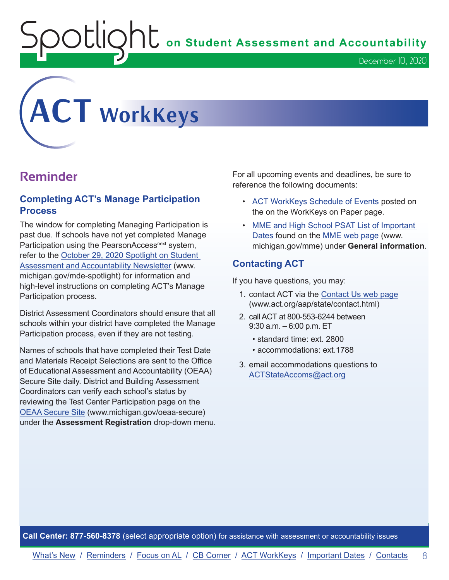$\mathsf{OLIQNL}$  on Student Assessment and Accountability

<span id="page-7-0"></span>

## **Reminder**

## **Completing ACT's Manage Participation Process**

The window for completing Managing Participation is past due. If schools have not yet completed Manage Participation using the PearsonAccess<sup>next</sup> system, refer to the [October 29, 2020 Spotlight on Student](https://www.michigan.gov/documents/mde/Spotlight_10-29-20_706526_7.pdf)  [Assessment and Accountability Newsletter](https://www.michigan.gov/documents/mde/Spotlight_10-29-20_706526_7.pdf) (www. michigan.gov/mde-spotlight) for information and high-level instructions on completing ACT's Manage Participation process.

District Assessment Coordinators should ensure that all schools within your district have completed the Manage Participation process, even if they are not testing.

Names of schools that have completed their Test Date and Materials Receipt Selections are sent to the Office of Educational Assessment and Accountability (OEAA) Secure Site daily. District and Building Assessment Coordinators can verify each school's status by reviewing the Test Center Participation page on the [OEAA Secure Site](http://www.michigan.gov/oeaa-secure) (www.michigan.gov/oeaa-secure) under the **Assessment Registration** drop-down menu.

For all upcoming events and deadlines, be sure to reference the following documents:

• [ACT WorkKeys Schedule of Events](https://content.act.org/michigan/reader/QvOmVKFL9Yw0c_sitVNlXA/urb67ck4C1ph7SNsFsEoaA) posted on the on the WorkKeys on Paper page.

December 10, 2020

• MME and High School PSAT List of Important [Dates](https://www.michigan.gov/mde/0,4615,7-140-22709_35150-544814--,00.html) found on the [MME web page](www.michigan.gov/mme) (www. michigan.gov/mme) under **General information**.

## **Contacting ACT**

If you have questions, you may:

- 1. contact ACT via the [Contact Us web page](http://www.act.org/aap/state/contact.html) [\(www.act.org/aap/state/contact.html\)](https://www.act.org/aap/state/contact.html)
- 2. call ACT at 800-553-6244 between 9:30 a.m. – 6:00 p.m. ET
	- standard time: ext. 2800
	- accommodations: ext.1788
- 3. email accommodations questions to [ACTStateAccoms@act.org](mailto:ACTStateAccoms%40act.org?subject=)

**Call Center: 877-560-8378** (select appropriate option) for assistance with assessment or accountability issues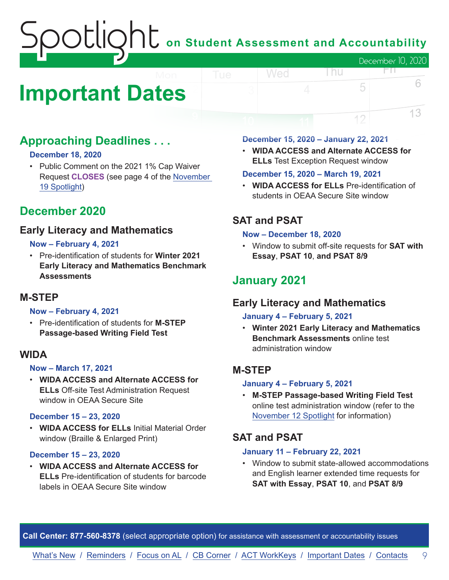## $\bigcup$  on Student Assessment and Accountability December 10, 2020 Wed FП.

## <span id="page-8-0"></span>**Important Dates**

## **Approaching Deadlines . . .**

## **December 18, 2020**

• Public Comment on the 2021 1% Cap Waiver Request **CLOSES** (see page 4 of the [November](https://www.michigan.gov/documents/mde/Spotlight_11-19-20_708352_7.pdf)  [19 Spotlight](https://www.michigan.gov/documents/mde/Spotlight_11-19-20_708352_7.pdf))

## **December 2020**

## **Early Literacy and Mathematics**

## **Now – February 4, 2021**

• Pre-identification of students for **Winter 2021 Early Literacy and Mathematics Benchmark Assessments**

## **M-STEP**

### **Now – February 4, 2021**

• Pre-identification of students for **M-STEP Passage-based Writing Field Test**

## **WIDA**

### **Now – March 17, 2021**

• **WIDA ACCESS and Alternate ACCESS for ELLs** Off-site Test Administration Request window in OEAA Secure Site

### **December 15 – 23, 2020**

• **WIDA ACCESS for ELLs** Initial Material Order window (Braille & Enlarged Print)

### **December 15 – 23, 2020**

• **WIDA ACCESS and Alternate ACCESS for ELLs** Pre-identification of students for barcode labels in OEAA Secure Site window

#### **December 15, 2020 – January 22, 2021**

• **WIDA ACCESS and Alternate ACCESS for ELLs** Test Exception Request window

l nu

5

12

6

13

## **December 15, 2020 – March 19, 2021**

• **WIDA ACCESS for ELLs** Pre-identification of students in OEAA Secure Site window

## **SAT and PSAT**

#### **Now – December 18, 2020**

• Window to submit off-site requests for **SAT with Essay**, **PSAT 10**, **and PSAT 8/9**

## **January 2021**

## **Early Literacy and Mathematics**

### **January 4 – February 5, 2021**

• **Winter 2021 Early Literacy and Mathematics Benchmark Assessments** online test administration window

## **M-STEP**

### **January 4 – February 5, 2021**

• **M-STEP Passage-based Writing Field Test** online test administration window (refer to the [November 12 Spotlight](https://www.michigan.gov/documents/mde/Spotlight_11-12-20_707634_7.pdf) for information)

## **SAT and PSAT**

### **January 11 – February 22, 2021**

• Window to submit state-allowed accommodations and English learner extended time requests for **SAT with Essay**, **PSAT 10**, and **PSAT 8/9**

**Call Center: 877-560-8378** (select appropriate option) for assistance with assessment or accountability issues